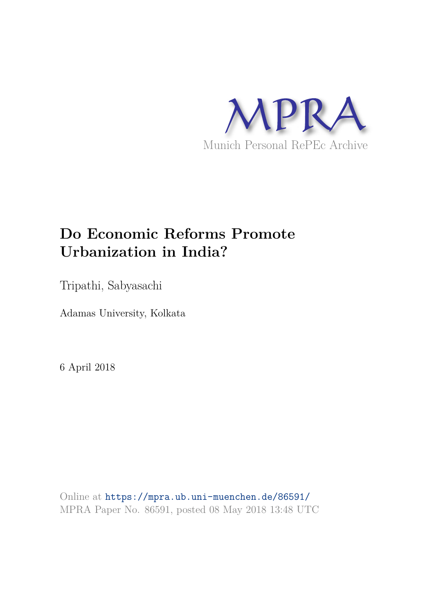

# **Do Economic Reforms Promote Urbanization in India?**

Tripathi, Sabyasachi

Adamas University, Kolkata

6 April 2018

Online at https://mpra.ub.uni-muenchen.de/86591/ MPRA Paper No. 86591, posted 08 May 2018 13:48 UTC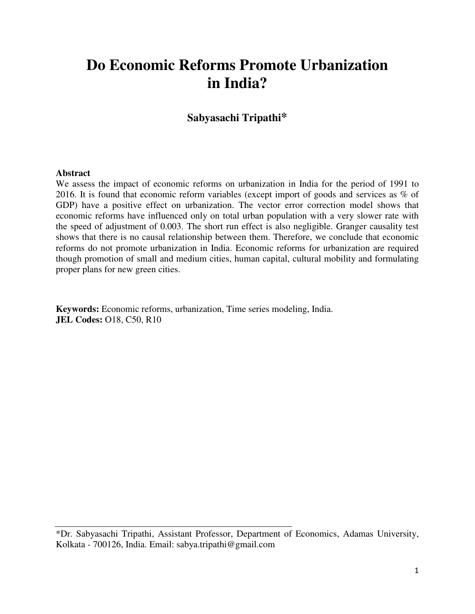## **Do Economic Reforms Promote Urbanization in India?**

## **Sabyasachi Tripathi\***

#### **Abstract**

We assess the impact of economic reforms on urbanization in India for the period of 1991 to 2016. It is found that economic reform variables (except import of goods and services as % of GDP) have a positive effect on urbanization. The vector error correction model shows that economic reforms have influenced only on total urban population with a very slower rate with the speed of adjustment of 0.003. The short run effect is also negligible. Granger causality test shows that there is no causal relationship between them. Therefore, we conclude that economic reforms do not promote urbanization in India. Economic reforms for urbanization are required though promotion of small and medium cities, human capital, cultural mobility and formulating proper plans for new green cities.

**Keywords:** Economic reforms, urbanization, Time series modeling, India. **JEL Codes:** O18, C50, R10

<sup>\*</sup>Dr. Sabyasachi Tripathi, Assistant Professor, Department of Economics, Adamas University, Kolkata - 700126, India. Email: sabya.tripathi@gmail.com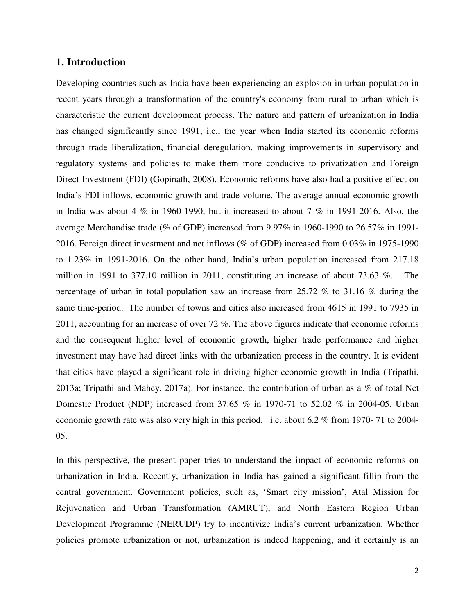#### **1. Introduction**

Developing countries such as India have been experiencing an explosion in urban population in recent years through a transformation of the country's economy from rural to urban which is characteristic the current development process. The nature and pattern of urbanization in India has changed significantly since 1991, i.e., the year when India started its economic reforms through trade liberalization, financial deregulation, making improvements in supervisory and regulatory systems and policies to make them more conducive to privatization and Foreign Direct Investment (FDI) (Gopinath, 2008). Economic reforms have also had a positive effect on India"s FDI inflows, economic growth and trade volume. The average annual economic growth in India was about 4  $\%$  in 1960-1990, but it increased to about 7  $\%$  in 1991-2016. Also, the average Merchandise trade (% of GDP) increased from 9.97% in 1960-1990 to 26.57% in 1991- 2016. Foreign direct investment and net inflows (% of GDP) increased from 0.03% in 1975-1990 to 1.23% in 1991-2016. On the other hand, India"s urban population increased from 217.18 million in 1991 to 377.10 million in 2011, constituting an increase of about 73.63 %. The percentage of urban in total population saw an increase from 25.72 % to 31.16 % during the same time-period. The number of towns and cities also increased from 4615 in 1991 to 7935 in 2011, accounting for an increase of over 72 %. The above figures indicate that economic reforms and the consequent higher level of economic growth, higher trade performance and higher investment may have had direct links with the urbanization process in the country. It is evident that cities have played a significant role in driving higher economic growth in India (Tripathi, 2013a; Tripathi and Mahey, 2017a). For instance, the contribution of urban as a % of total Net Domestic Product (NDP) increased from 37.65 % in 1970-71 to 52.02 % in 2004-05. Urban economic growth rate was also very high in this period, i.e. about 6.2 % from 1970- 71 to 2004- 05.

In this perspective, the present paper tries to understand the impact of economic reforms on urbanization in India. Recently, urbanization in India has gained a significant fillip from the central government. Government policies, such as, "Smart city mission", Atal Mission for Rejuvenation and Urban Transformation (AMRUT), and North Eastern Region Urban Development Programme (NERUDP) try to incentivize India"s current urbanization. Whether policies promote urbanization or not, urbanization is indeed happening, and it certainly is an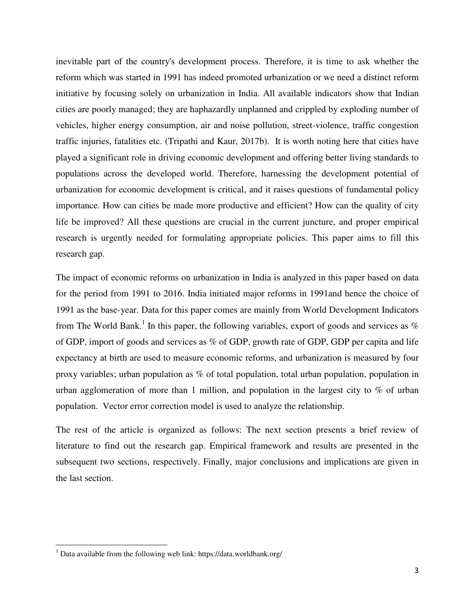inevitable part of the country's development process. Therefore, it is time to ask whether the reform which was started in 1991 has indeed promoted urbanization or we need a distinct reform initiative by focusing solely on urbanization in India. All available indicators show that Indian cities are poorly managed; they are haphazardly unplanned and crippled by exploding number of vehicles, higher energy consumption, air and noise pollution, street-violence, traffic congestion traffic injuries, fatalities etc. (Tripathi and Kaur, 2017b). It is worth noting here that cities have played a significant role in driving economic development and offering better living standards to populations across the developed world. Therefore, harnessing the development potential of urbanization for economic development is critical, and it raises questions of fundamental policy importance. How can cities be made more productive and efficient? How can the quality of city life be improved? All these questions are crucial in the current juncture, and proper empirical research is urgently needed for formulating appropriate policies. This paper aims to fill this research gap.

The impact of economic reforms on urbanization in India is analyzed in this paper based on data for the period from 1991 to 2016. India initiated major reforms in 1991and hence the choice of 1991 as the base-year. Data for this paper comes are mainly from World Development Indicators from The World Bank.<sup>1</sup> In this paper, the following variables, export of goods and services as  $\%$ of GDP, import of goods and services as % of GDP, growth rate of GDP, GDP per capita and life expectancy at birth are used to measure economic reforms, and urbanization is measured by four proxy variables; urban population as % of total population, total urban population, population in urban agglomeration of more than 1 million, and population in the largest city to  $\%$  of urban population. Vector error correction model is used to analyze the relationship.

The rest of the article is organized as follows: The next section presents a brief review of literature to find out the research gap. Empirical framework and results are presented in the subsequent two sections, respectively. Finally, major conclusions and implications are given in the last section.

l

<sup>&</sup>lt;sup>1</sup> Data available from the following web link: https://data.worldbank.org/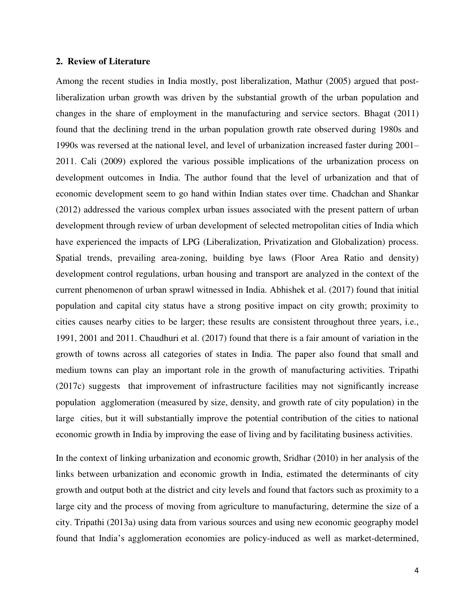#### **2. Review of Literature**

Among the recent studies in India mostly, post liberalization, Mathur (2005) argued that postliberalization urban growth was driven by the substantial growth of the urban population and changes in the share of employment in the manufacturing and service sectors. Bhagat (2011) found that the declining trend in the urban population growth rate observed during 1980s and 1990s was reversed at the national level, and level of urbanization increased faster during 2001– 2011. Cali (2009) explored the various possible implications of the urbanization process on development outcomes in India. The author found that the level of urbanization and that of economic development seem to go hand within Indian states over time. Chadchan and Shankar (2012) addressed the various complex urban issues associated with the present pattern of urban development through review of urban development of selected metropolitan cities of India which have experienced the impacts of LPG (Liberalization, Privatization and Globalization) process. Spatial trends, prevailing area-zoning, building bye laws (Floor Area Ratio and density) development control regulations, urban housing and transport are analyzed in the context of the current phenomenon of urban sprawl witnessed in India. Abhishek et al. (2017) found that initial population and capital city status have a strong positive impact on city growth; proximity to cities causes nearby cities to be larger; these results are consistent throughout three years, i.e., 1991, 2001 and 2011. Chaudhuri et al. (2017) found that there is a fair amount of variation in the growth of towns across all categories of states in India. The paper also found that small and medium towns can play an important role in the growth of manufacturing activities. Tripathi (2017c) suggests that improvement of infrastructure facilities may not significantly increase population agglomeration (measured by size, density, and growth rate of city population) in the large cities, but it will substantially improve the potential contribution of the cities to national economic growth in India by improving the ease of living and by facilitating business activities.

In the context of linking urbanization and economic growth, Sridhar (2010) in her analysis of the links between urbanization and economic growth in India, estimated the determinants of city growth and output both at the district and city levels and found that factors such as proximity to a large city and the process of moving from agriculture to manufacturing, determine the size of a city. Tripathi (2013a) using data from various sources and using new economic geography model found that India"s agglomeration economies are policy-induced as well as market-determined,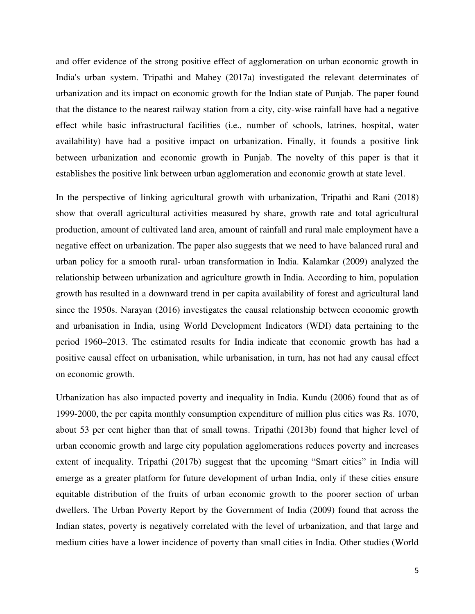and offer evidence of the strong positive effect of agglomeration on urban economic growth in India's urban system. Tripathi and Mahey (2017a) investigated the relevant determinates of urbanization and its impact on economic growth for the Indian state of Punjab. The paper found that the distance to the nearest railway station from a city, city-wise rainfall have had a negative effect while basic infrastructural facilities (i.e., number of schools, latrines, hospital, water availability) have had a positive impact on urbanization. Finally, it founds a positive link between urbanization and economic growth in Punjab. The novelty of this paper is that it establishes the positive link between urban agglomeration and economic growth at state level.

In the perspective of linking agricultural growth with urbanization, Tripathi and Rani (2018) show that overall agricultural activities measured by share, growth rate and total agricultural production, amount of cultivated land area, amount of rainfall and rural male employment have a negative effect on urbanization. The paper also suggests that we need to have balanced rural and urban policy for a smooth rural- urban transformation in India. Kalamkar (2009) analyzed the relationship between urbanization and agriculture growth in India. According to him, population growth has resulted in a downward trend in per capita availability of forest and agricultural land since the 1950s. Narayan (2016) investigates the causal relationship between economic growth and urbanisation in India, using World Development Indicators (WDI) data pertaining to the period 1960–2013. The estimated results for India indicate that economic growth has had a positive causal effect on urbanisation, while urbanisation, in turn, has not had any causal effect on economic growth.

Urbanization has also impacted poverty and inequality in India. Kundu (2006) found that as of 1999-2000, the per capita monthly consumption expenditure of million plus cities was Rs. 1070, about 53 per cent higher than that of small towns. Tripathi (2013b) found that higher level of urban economic growth and large city population agglomerations reduces poverty and increases extent of inequality. Tripathi (2017b) suggest that the upcoming "Smart cities" in India will emerge as a greater platform for future development of urban India, only if these cities ensure equitable distribution of the fruits of urban economic growth to the poorer section of urban dwellers. The Urban Poverty Report by the Government of India (2009) found that across the Indian states, poverty is negatively correlated with the level of urbanization, and that large and medium cities have a lower incidence of poverty than small cities in India. Other studies (World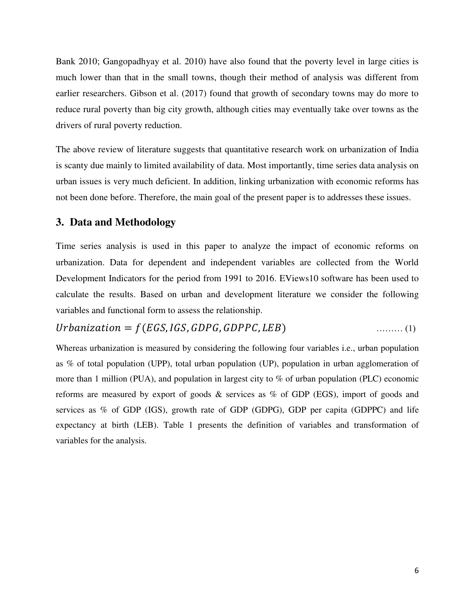Bank 2010; Gangopadhyay et al. 2010) have also found that the poverty level in large cities is much lower than that in the small towns, though their method of analysis was different from earlier researchers. Gibson et al. (2017) found that growth of secondary towns may do more to reduce rural poverty than big city growth, although cities may eventually take over towns as the drivers of rural poverty reduction.

The above review of literature suggests that quantitative research work on urbanization of India is scanty due mainly to limited availability of data. Most importantly, time series data analysis on urban issues is very much deficient. In addition, linking urbanization with economic reforms has not been done before. Therefore, the main goal of the present paper is to addresses these issues.

## **3. Data and Methodology**

Time series analysis is used in this paper to analyze the impact of economic reforms on urbanization. Data for dependent and independent variables are collected from the World Development Indicators for the period from 1991 to 2016. EViews10 software has been used to calculate the results. Based on urban and development literature we consider the following variables and functional form to assess the relationship.

## $Urbanization = f(EGS, IGS, GDPG, GDPFC, LEB)$  ..........(1)

Whereas urbanization is measured by considering the following four variables i.e., urban population as % of total population (UPP), total urban population (UP), population in urban agglomeration of more than 1 million (PUA), and population in largest city to % of urban population (PLC) economic reforms are measured by export of goods & services as % of GDP (EGS), import of goods and services as  $%$  of GDP (IGS), growth rate of GDP (GDPG), GDP per capita (GDPPC) and life expectancy at birth (LEB). Table 1 presents the definition of variables and transformation of variables for the analysis.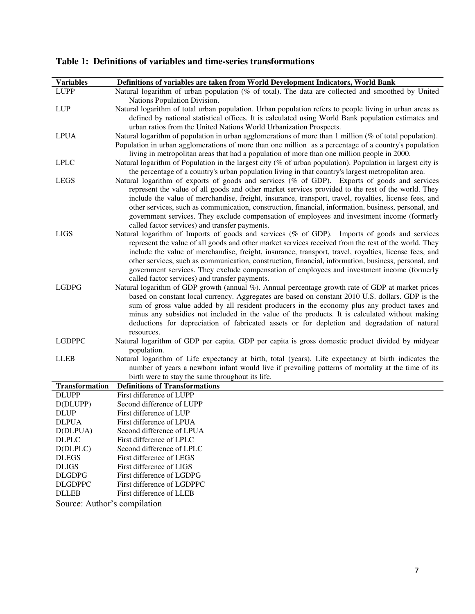| <b>Variables</b>         | Definitions of variables are taken from World Development Indicators, World Bank                                                                                                                              |
|--------------------------|---------------------------------------------------------------------------------------------------------------------------------------------------------------------------------------------------------------|
| <b>LUPP</b>              | Natural logarithm of urban population (% of total). The data are collected and smoothed by United                                                                                                             |
|                          | Nations Population Division.                                                                                                                                                                                  |
| <b>LUP</b>               | Natural logarithm of total urban population. Urban population refers to people living in urban areas as                                                                                                       |
|                          | defined by national statistical offices. It is calculated using World Bank population estimates and                                                                                                           |
| <b>LPUA</b>              | urban ratios from the United Nations World Urbanization Prospects.<br>Natural logarithm of population in urban agglomerations of more than 1 million (% of total population).                                 |
|                          | Population in urban agglomerations of more than one million as a percentage of a country's population                                                                                                         |
|                          | living in metropolitan areas that had a population of more than one million people in 2000.                                                                                                                   |
| <b>LPLC</b>              | Natural logarithm of Population in the largest city (% of urban population). Population in largest city is                                                                                                    |
|                          | the percentage of a country's urban population living in that country's largest metropolitan area.                                                                                                            |
| <b>LEGS</b>              | Natural logarithm of exports of goods and services (% of GDP). Exports of goods and services                                                                                                                  |
|                          | represent the value of all goods and other market services provided to the rest of the world. They<br>include the value of merchandise, freight, insurance, transport, travel, royalties, license fees, and   |
|                          | other services, such as communication, construction, financial, information, business, personal, and                                                                                                          |
|                          | government services. They exclude compensation of employees and investment income (formerly                                                                                                                   |
|                          | called factor services) and transfer payments.                                                                                                                                                                |
| <b>LIGS</b>              | Natural logarithm of Imports of goods and services (% of GDP). Imports of goods and services                                                                                                                  |
|                          | represent the value of all goods and other market services received from the rest of the world. They                                                                                                          |
|                          | include the value of merchandise, freight, insurance, transport, travel, royalties, license fees, and<br>other services, such as communication, construction, financial, information, business, personal, and |
|                          | government services. They exclude compensation of employees and investment income (formerly                                                                                                                   |
|                          | called factor services) and transfer payments.                                                                                                                                                                |
| <b>LGDPG</b>             | Natural logarithm of GDP growth (annual %). Annual percentage growth rate of GDP at market prices                                                                                                             |
|                          | based on constant local currency. Aggregates are based on constant 2010 U.S. dollars. GDP is the                                                                                                              |
|                          | sum of gross value added by all resident producers in the economy plus any product taxes and                                                                                                                  |
|                          | minus any subsidies not included in the value of the products. It is calculated without making<br>deductions for depreciation of fabricated assets or for depletion and degradation of natural                |
|                          | resources.                                                                                                                                                                                                    |
| <b>LGDPPC</b>            | Natural logarithm of GDP per capita. GDP per capita is gross domestic product divided by midyear                                                                                                              |
|                          | population.                                                                                                                                                                                                   |
| LLEB                     | Natural logarithm of Life expectancy at birth, total (years). Life expectancy at birth indicates the                                                                                                          |
|                          | number of years a newborn infant would live if prevailing patterns of mortality at the time of its<br>birth were to stay the same throughout its life.                                                        |
| <b>Transformation</b>    | <b>Definitions of Transformations</b>                                                                                                                                                                         |
| <b>DLUPP</b>             | First difference of LUPP                                                                                                                                                                                      |
| D(DLUPP)                 | Second difference of LUPP                                                                                                                                                                                     |
| <b>DLUP</b>              | First difference of LUP                                                                                                                                                                                       |
| <b>DLPUA</b>             | First difference of LPUA                                                                                                                                                                                      |
| D(DLPUA)<br><b>DLPLC</b> | Second difference of LPUA<br>First difference of LPLC                                                                                                                                                         |
| D(DLPLC)                 | Second difference of LPLC                                                                                                                                                                                     |
| <b>DLEGS</b>             | First difference of LEGS                                                                                                                                                                                      |
| <b>DLIGS</b>             | First difference of LIGS                                                                                                                                                                                      |
| <b>DLGDPG</b>            | First difference of LGDPG                                                                                                                                                                                     |
| <b>DLGDPPC</b>           | First difference of LGDPPC                                                                                                                                                                                    |
| <b>DLLEB</b>             | First difference of LLEB                                                                                                                                                                                      |

**Table 1: Definitions of variables and time-series transformations** 

Source: Author's compilation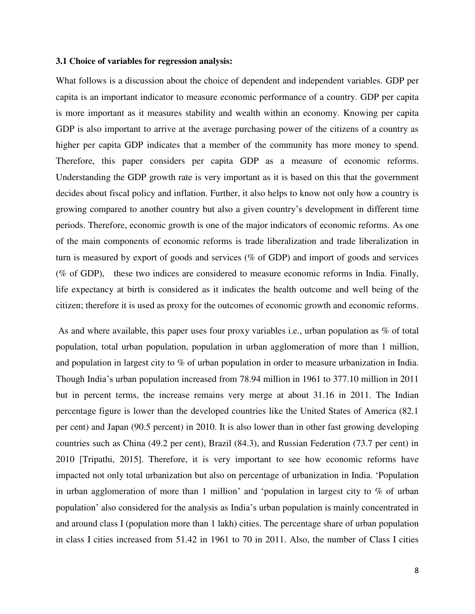#### **3.1 Choice of variables for regression analysis:**

What follows is a discussion about the choice of dependent and independent variables. GDP per capita is an important indicator to measure economic performance of a country. GDP per capita is more important as it measures stability and wealth within an economy. Knowing per capita GDP is also important to arrive at the average purchasing power of the citizens of a country as higher per capita GDP indicates that a member of the community has more money to spend. Therefore, this paper considers per capita GDP as a measure of economic reforms. Understanding the GDP growth rate is very important as it is based on this that the government decides about fiscal policy and inflation. Further, it also helps to know not only how a country is growing compared to another country but also a given country"s development in different time periods. Therefore, economic growth is one of the major indicators of economic reforms. As one of the main components of economic reforms is trade liberalization and trade liberalization in turn is measured by export of goods and services (% of GDP) and import of goods and services (% of GDP), these two indices are considered to measure economic reforms in India. Finally, life expectancy at birth is considered as it indicates the health outcome and well being of the citizen; therefore it is used as proxy for the outcomes of economic growth and economic reforms.

As and where available, this paper uses four proxy variables i.e., urban population as % of total population, total urban population, population in urban agglomeration of more than 1 million, and population in largest city to % of urban population in order to measure urbanization in India. Though India"s urban population increased from 78.94 million in 1961 to 377.10 million in 2011 but in percent terms, the increase remains very merge at about 31.16 in 2011. The Indian percentage figure is lower than the developed countries like the United States of America (82.1 per cent) and Japan (90.5 percent) in 2010. It is also lower than in other fast growing developing countries such as China (49.2 per cent), Brazil (84.3), and Russian Federation (73.7 per cent) in 2010 [Tripathi, 2015]. Therefore, it is very important to see how economic reforms have impacted not only total urbanization but also on percentage of urbanization in India. "Population in urban agglomeration of more than 1 million' and 'population in largest city to  $\%$  of urban population" also considered for the analysis as India"s urban population is mainly concentrated in and around class I (population more than 1 lakh) cities. The percentage share of urban population in class I cities increased from 51.42 in 1961 to 70 in 2011. Also, the number of Class I cities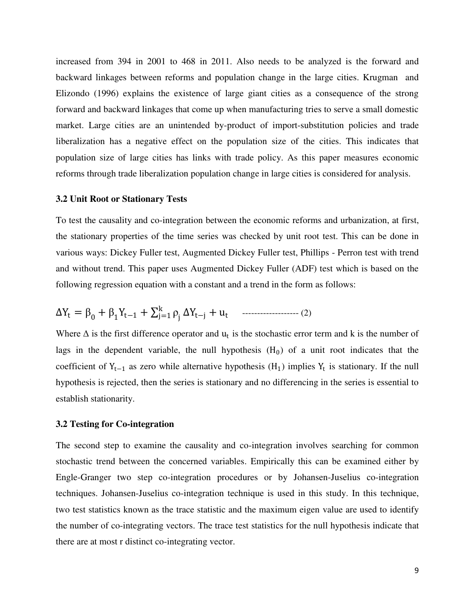increased from 394 in 2001 to 468 in 2011. Also needs to be analyzed is the forward and backward linkages between reforms and population change in the large cities. Krugman and Elizondo (1996) explains the existence of large giant cities as a consequence of the strong forward and backward linkages that come up when manufacturing tries to serve a small domestic market. Large cities are an unintended by-product of import-substitution policies and trade liberalization has a negative effect on the population size of the cities. This indicates that population size of large cities has links with trade policy. As this paper measures economic reforms through trade liberalization population change in large cities is considered for analysis.

#### **3.2 Unit Root or Stationary Tests**

To test the causality and co-integration between the economic reforms and urbanization, at first, the stationary properties of the time series was checked by unit root test. This can be done in various ways: Dickey Fuller test, Augmented Dickey Fuller test, Phillips - Perron test with trend and without trend. This paper uses Augmented Dickey Fuller (ADF) test which is based on the following regression equation with a constant and a trend in the form as follows:

∆Y<sup>t</sup> = β<sup>0</sup> + β<sup>1</sup> Yt−<sup>1</sup> + ρ<sup>j</sup> k j=1 ∆Yt−<sup>j</sup> + u<sup>t</sup> ------------------- (2)

Where  $\Delta$  is the first difference operator and  $u_t$  is the stochastic error term and k is the number of lags in the dependent variable, the null hypothesis  $(H_0)$  of a unit root indicates that the coefficient of  $Y_{t-1}$  as zero while alternative hypothesis  $(H_1)$  implies  $Y_t$  is stationary. If the null hypothesis is rejected, then the series is stationary and no differencing in the series is essential to establish stationarity.

#### **3.2 Testing for Co-integration**

The second step to examine the causality and co-integration involves searching for common stochastic trend between the concerned variables. Empirically this can be examined either by Engle-Granger two step co-integration procedures or by Johansen-Juselius co-integration techniques. Johansen-Juselius co-integration technique is used in this study. In this technique, two test statistics known as the trace statistic and the maximum eigen value are used to identify the number of co-integrating vectors. The trace test statistics for the null hypothesis indicate that there are at most r distinct co-integrating vector.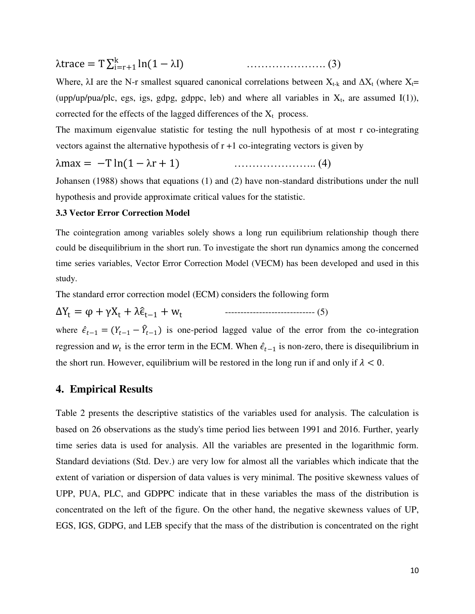$\lambda$ trace = T $\sum_{i=r+1}^{k} \ln(1 - \lambda I)$ i=r+1 …………………. (3)

Where,  $\lambda I$  are the N-r smallest squared canonical correlations between  $X_{t-k}$  and  $\Delta X_t$  (where  $X_t$ = (upp/up/pua/plc, egs, igs, gdpg, gdppc, leb) and where all variables in  $X_t$ , are assumed I(1)), corrected for the effects of the lagged differences of the  $X_t$  process.

The maximum eigenvalue statistic for testing the null hypothesis of at most r co-integrating vectors against the alternative hypothesis of  $r + 1$  co-integrating vectors is given by

λmax = −T ln(1 − λr + 1) ………………….. (4)

Johansen (1988) shows that equations (1) and (2) have non-standard distributions under the null hypothesis and provide approximate critical values for the statistic.

#### **3.3 Vector Error Correction Model**

The cointegration among variables solely shows a long run equilibrium relationship though there could be disequilibrium in the short run. To investigate the short run dynamics among the concerned time series variables, Vector Error Correction Model (VECM) has been developed and used in this study.

The standard error correction model (ECM) considers the following form

 $\Delta Y_t = \varphi + \gamma X_t + \lambda \hat{\epsilon}_{t-1} + w_t$ ----------------------------- (5)

where  $\hat{\epsilon}_{t-1} = (Y_{t-1} - \hat{Y}_{t-1})$  is one-period lagged value of the error from the co-integration regression and  $w_t$  is the error term in the ECM. When  $\hat{\epsilon}_{t-1}$  is non-zero, there is disequilibrium in the short run. However, equilibrium will be restored in the long run if and only if  $\lambda < 0$ .

#### **4. Empirical Results**

Table 2 presents the descriptive statistics of the variables used for analysis. The calculation is based on 26 observations as the study's time period lies between 1991 and 2016. Further, yearly time series data is used for analysis. All the variables are presented in the logarithmic form. Standard deviations (Std. Dev.) are very low for almost all the variables which indicate that the extent of variation or dispersion of data values is very minimal. The positive skewness values of UPP, PUA, PLC, and GDPPC indicate that in these variables the mass of the distribution is concentrated on the left of the figure. On the other hand, the negative skewness values of UP, EGS, IGS, GDPG, and LEB specify that the mass of the distribution is concentrated on the right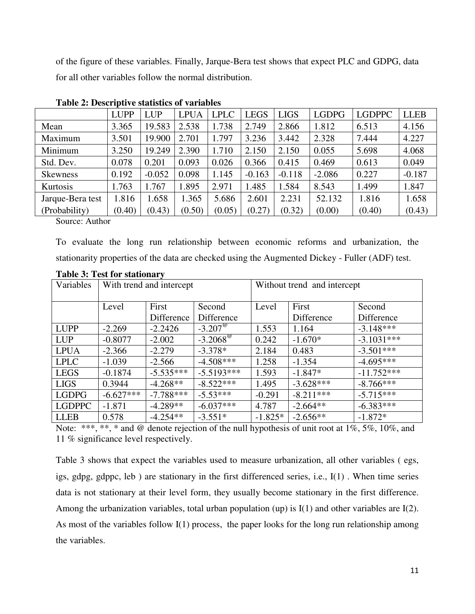of the figure of these variables. Finally, Jarque-Bera test shows that expect PLC and GDPG, data for all other variables follow the normal distribution.

|                  | <b>LUPP</b> | <b>LUP</b> | <b>LPUA</b> | <b>LPLC</b> | <b>LEGS</b> | <b>LIGS</b> | <b>LGDPG</b> | <b>LGDPPC</b> | <b>LLEB</b> |
|------------------|-------------|------------|-------------|-------------|-------------|-------------|--------------|---------------|-------------|
| Mean             | 3.365       | 19.583     | 2.538       | 1.738       | 2.749       | 2.866       | 1.812        | 6.513         | 4.156       |
| Maximum          | 3.501       | 19.900     | 2.701       | 1.797       | 3.236       | 3.442       | 2.328        | 7.444         | 4.227       |
| Minimum          | 3.250       | 19.249     | 2.390       | 1.710       | 2.150       | 2.150       | 0.055        | 5.698         | 4.068       |
| Std. Dev.        | 0.078       | 0.201      | 0.093       | 0.026       | 0.366       | 0.415       | 0.469        | 0.613         | 0.049       |
| <b>Skewness</b>  | 0.192       | $-0.052$   | 0.098       | 1.145       | $-0.163$    | $-0.118$    | $-2.086$     | 0.227         | $-0.187$    |
| Kurtosis         | 1.763       | 1.767      | 1.895       | 2.971       | .485        | 1.584       | 8.543        | 1.499         | 1.847       |
| Jarque-Bera test | 1.816       | 1.658      | 1.365       | 5.686       | 2.601       | 2.231       | 52.132       | 1.816         | 1.658       |
| (Probability)    | (0.40)      | (0.43)     | (0.50)      | (0.05)      | (0.27)      | (0.32)      | (0.00)       | (0.40)        | (0.43)      |

**Table 2: Descriptive statistics of variables**

Source: Author

To evaluate the long run relationship between economic reforms and urbanization, the stationarity properties of the data are checked using the Augmented Dickey - Fuller (ADF) test.

| Variables     | With trend and intercept |             |                        | Without trend and intercept |             |              |  |
|---------------|--------------------------|-------------|------------------------|-----------------------------|-------------|--------------|--|
|               | First<br>Level           |             | Second                 | Level                       | First       | Second       |  |
|               |                          | Difference  | Difference             |                             | Difference  | Difference   |  |
| <b>LUPP</b>   | $-2.269$                 | $-2.2426$   | $-3.207^{\circ}$       | 1.553                       | 1.164       | $-3.148***$  |  |
| <b>LUP</b>    | $-0.8077$                | $-2.002$    | $-3.2068^{\circ\circ}$ | 0.242                       | $-1.670*$   | $-3.1031***$ |  |
| <b>LPUA</b>   | $-2.366$                 | $-2.279$    | $-3.378*$              | 2.184                       | 0.483       | $-3.501***$  |  |
| <b>LPLC</b>   | $-1.039$                 | $-2.566$    | $-4.508***$            | 1.258                       | $-1.354$    | $-4.695***$  |  |
| <b>LEGS</b>   | $-0.1874$                | $-5.535***$ | $-5.5193***$           | 1.593                       | $-1.847*$   | $-11.752***$ |  |
| <b>LIGS</b>   | 0.3944                   | $-4.268**$  | $-8.522***$            | 1.495                       | $-3.628***$ | $-8.766***$  |  |
| <b>LGDPG</b>  | $-6.627***$              | $-7.788***$ | $-5.53***$             | $-0.291$                    | $-8.211***$ | $-5.715***$  |  |
| <b>LGDPPC</b> | $-1.871$                 | $-4.289**$  | $-6.037***$            | 4.787                       | $-2.664**$  | $-6.383***$  |  |
| <b>LLEB</b>   | 0.578                    | $-4.254**$  | $-3.551*$              | $-1.825*$                   | $-2.656**$  | $-1.872*$    |  |

#### **Table 3: Test for stationary**

Note: \*\*\*, \*\*, \* and @ denote rejection of the null hypothesis of unit root at  $1\%, 5\%, 10\%,$  and 11 % significance level respectively.

Table 3 shows that expect the variables used to measure urbanization, all other variables ( egs, igs, gdpg, gdppc, leb ) are stationary in the first differenced series, i.e., I(1) . When time series data is not stationary at their level form, they usually become stationary in the first difference. Among the urbanization variables, total urban population (up) is  $I(1)$  and other variables are  $I(2)$ . As most of the variables follow I(1) process, the paper looks for the long run relationship among the variables.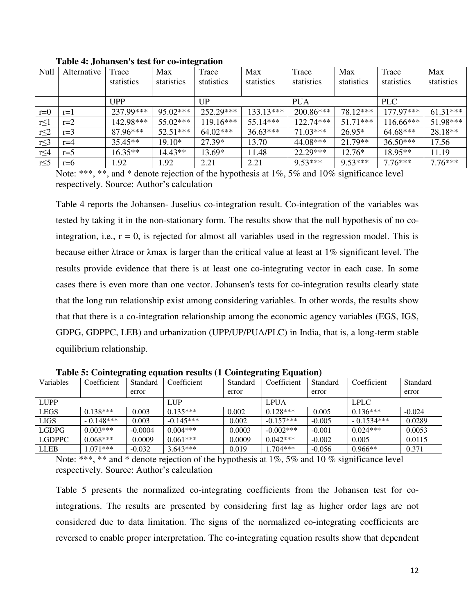| Null       | Alternative | Trace      | Max        | Trace       | Max         | Trace       | Max        | Trace       | Max        |
|------------|-------------|------------|------------|-------------|-------------|-------------|------------|-------------|------------|
|            |             | statistics | statistics | statistics  | statistics  | statistics  | statistics | statistics  | statistics |
|            |             |            |            |             |             |             |            |             |            |
|            |             | <b>UPP</b> |            | UP          |             | <b>PUA</b>  |            | <b>PLC</b>  |            |
| $r=0$      | $r=1$       | 237.99***  | $95.02***$ | 252.29***   | $133.13***$ | $200.86***$ | 78.12***   | $177.97***$ | $61.31***$ |
| $r \leq 1$ | $r=2$       | 142.98***  | $55.02***$ | $119.16***$ | $55.14***$  | $122.74***$ | $51.71***$ | $116.66***$ | $51.98***$ |
| $r \leq 2$ | $r=3$       | $87.96***$ | $52.51***$ | $64.02***$  | $36.63***$  | $71.03***$  | $26.95*$   | $64.68***$  | 28.18**    |
| $r \leq 3$ | $r=4$       | $35.45**$  | $19.10*$   | 27.39*      | 13.70       | 44.08***    | $21.79**$  | $36.50***$  | 17.56      |
| $r \leq 4$ | $r=5$       | $16.35**$  | $14.43**$  | 13.69*      | 11.48       | $22.29***$  | $12.76*$   | $18.95**$   | 11.19      |
| $r \leq 5$ | $r=6$       | 1.92       | .92        | 2.21        | 2.21        | $9.53***$   | $9.53***$  | $7.76***$   | $7.76***$  |

**Table 4: Johansen's test for co-integration**

Note: \*\*\*, \*\*, and \* denote rejection of the hypothesis at 1%, 5% and 10% significance level respectively. Source: Author's calculation

Table 4 reports the Johansen- Juselius co-integration result. Co-integration of the variables was tested by taking it in the non-stationary form. The results show that the null hypothesis of no cointegration, i.e.,  $r = 0$ , is rejected for almost all variables used in the regression model. This is because either λtrace or λmax is larger than the critical value at least at 1% significant level. The results provide evidence that there is at least one co-integrating vector in each case. In some cases there is even more than one vector. Johansen's tests for co-integration results clearly state that the long run relationship exist among considering variables. In other words, the results show that that there is a co-integration relationship among the economic agency variables (EGS, IGS, GDPG, GDPPC, LEB) and urbanization (UPP/UP/PUA/PLC) in India, that is, a long-term stable equilibrium relationship.

|               | ້           | ີ         |             | ີ        | ້            |          |              |          |
|---------------|-------------|-----------|-------------|----------|--------------|----------|--------------|----------|
| Variables     | Coefficient | Standard  | Coefficient | Standard | Coefficient  | Standard | Coefficient  | Standard |
|               |             | error     |             | error    |              | error    |              | error    |
| <b>LUPP</b>   |             |           | LUP         |          | LPUA         |          | <b>LPLC</b>  |          |
| <b>LEGS</b>   | $0.138***$  | 0.003     | $0.135***$  | 0.002    | $0.128***$   | 0.005    | $0.136***$   | $-0.024$ |
| <b>LIGS</b>   | $-0.148***$ | 0.003     | $-0.145***$ | 0.002    | $-0.157***$  | $-0.005$ | $-0.1534***$ | 0.0289   |
| <b>LGDPG</b>  | $0.003***$  | $-0.0004$ | $0.004***$  | 0.0003   | $-0.002$ *** | $-0.001$ | $0.024***$   | 0.0053   |
| <b>LGDPPC</b> | $0.068***$  | 0.0009    | $0.061***$  | 0.0009   | $0.042***$   | $-0.002$ | 0.005        | 0.0115   |
| <b>LLEB</b>   | $071***$    | $-0.032$  | $3.643***$  | 0.019    | $1.704***$   | $-0.056$ | $0.966**$    | 0.371    |

**Table 5: Cointegrating equation results (1 Cointegrating Equation)** 

Note: \*\*\*, \*\* and \* denote rejection of the hypothesis at 1%, 5% and 10% significance level respectively. Source: Author"s calculation

Table 5 presents the normalized co-integrating coefficients from the Johansen test for cointegrations. The results are presented by considering first lag as higher order lags are not considered due to data limitation. The signs of the normalized co-integrating coefficients are reversed to enable proper interpretation. The co-integrating equation results show that dependent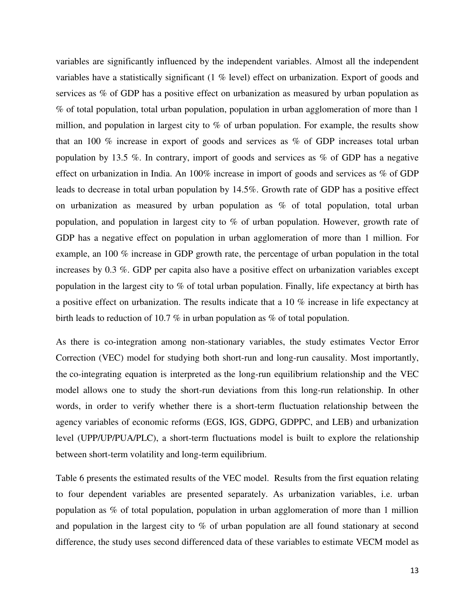variables are significantly influenced by the independent variables. Almost all the independent variables have a statistically significant (1 % level) effect on urbanization. Export of goods and services as % of GDP has a positive effect on urbanization as measured by urban population as % of total population, total urban population, population in urban agglomeration of more than 1 million, and population in largest city to % of urban population. For example, the results show that an 100 % increase in export of goods and services as % of GDP increases total urban population by 13.5 %. In contrary, import of goods and services as % of GDP has a negative effect on urbanization in India. An 100% increase in import of goods and services as % of GDP leads to decrease in total urban population by 14.5%. Growth rate of GDP has a positive effect on urbanization as measured by urban population as % of total population, total urban population, and population in largest city to % of urban population. However, growth rate of GDP has a negative effect on population in urban agglomeration of more than 1 million. For example, an 100 % increase in GDP growth rate, the percentage of urban population in the total increases by 0.3 %. GDP per capita also have a positive effect on urbanization variables except population in the largest city to % of total urban population. Finally, life expectancy at birth has a positive effect on urbanization. The results indicate that a 10 % increase in life expectancy at birth leads to reduction of 10.7 % in urban population as % of total population.

As there is co-integration among non-stationary variables, the study estimates Vector Error Correction (VEC) model for studying both short-run and long-run causality. Most importantly, the co-integrating equation is interpreted as the long-run equilibrium relationship and the VEC model allows one to study the short-run deviations from this long-run relationship. In other words, in order to verify whether there is a short-term fluctuation relationship between the agency variables of economic reforms (EGS, IGS, GDPG, GDPPC, and LEB) and urbanization level (UPP/UP/PUA/PLC), a short-term fluctuations model is built to explore the relationship between short-term volatility and long-term equilibrium.

Table 6 presents the estimated results of the VEC model. Results from the first equation relating to four dependent variables are presented separately. As urbanization variables, i.e. urban population as % of total population, population in urban agglomeration of more than 1 million and population in the largest city to % of urban population are all found stationary at second difference, the study uses second differenced data of these variables to estimate VECM model as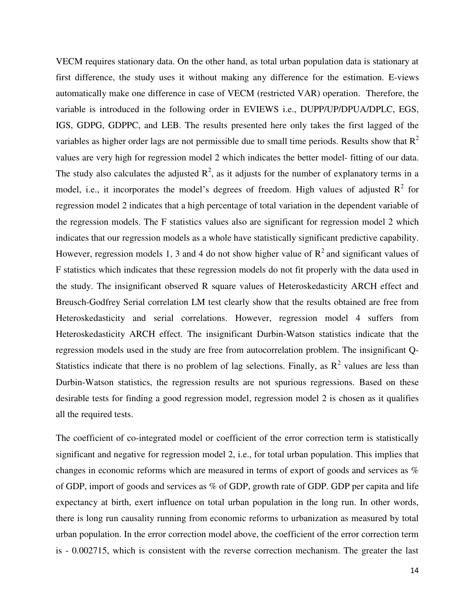VECM requires stationary data. On the other hand, as total urban population data is stationary at first difference, the study uses it without making any difference for the estimation. E-views automatically make one difference in case of VECM (restricted VAR) operation. Therefore, the variable is introduced in the following order in EVIEWS i.e., DUPP/UP/DPUA/DPLC, EGS, IGS, GDPG, GDPPC, and LEB. The results presented here only takes the first lagged of the variables as higher order lags are not permissible due to small time periods. Results show that  $R^2$ values are very high for regression model 2 which indicates the better model- fitting of our data. The study also calculates the adjusted  $R^2$ , as it adjusts for the number of explanatory terms in a model, i.e., it incorporates the model's degrees of freedom. High values of adjusted  $R^2$  for regression model 2 indicates that a high percentage of total variation in the dependent variable of the regression models. The F statistics values also are significant for regression model 2 which indicates that our regression models as a whole have statistically significant predictive capability. However, regression models 1, 3 and 4 do not show higher value of  $R^2$  and significant values of F statistics which indicates that these regression models do not fit properly with the data used in the study. The insignificant observed R square values of Heteroskedasticity ARCH effect and Breusch-Godfrey Serial correlation LM test clearly show that the results obtained are free from Heteroskedasticity and serial correlations. However, regression model 4 suffers from Heteroskedasticity ARCH effect. The insignificant Durbin-Watson statistics indicate that the regression models used in the study are free from autocorrelation problem. The insignificant Q-Statistics indicate that there is no problem of lag selections. Finally, as  $R^2$  values are less than Durbin-Watson statistics, the regression results are not spurious regressions. Based on these desirable tests for finding a good regression model, regression model 2 is chosen as it qualifies all the required tests.

The coefficient of co-integrated model or coefficient of the error correction term is statistically significant and negative for regression model 2, i.e., for total urban population. This implies that changes in economic reforms which are measured in terms of export of goods and services as % of GDP, import of goods and services as % of GDP, growth rate of GDP. GDP per capita and life expectancy at birth, exert influence on total urban population in the long run. In other words, there is long run causality running from economic reforms to urbanization as measured by total urban population. In the error correction model above, the coefficient of the error correction term is - 0.002715, which is consistent with the reverse correction mechanism. The greater the last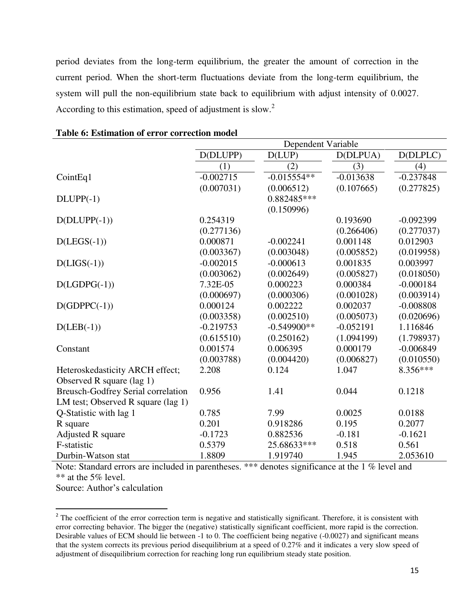period deviates from the long-term equilibrium, the greater the amount of correction in the current period. When the short-term fluctuations deviate from the long-term equilibrium, the system will pull the non-equilibrium state back to equilibrium with adjust intensity of 0.0027. According to this estimation, speed of adjustment is slow.<sup>2</sup>

|                                           | Dependent Variable |               |             |             |  |  |
|-------------------------------------------|--------------------|---------------|-------------|-------------|--|--|
|                                           | D(DLUPP)           | D(LUP)        | D(DLPUA)    | D(DLPLC)    |  |  |
|                                           | (1)                | (2)           | (3)         | (4)         |  |  |
| CointEq1                                  | $-0.002715$        | $-0.015554**$ | $-0.013638$ | $-0.237848$ |  |  |
|                                           | (0.007031)         | (0.006512)    | (0.107665)  | (0.277825)  |  |  |
| $DLUPP(-1)$                               |                    | 0.882485***   |             |             |  |  |
|                                           |                    | (0.150996)    |             |             |  |  |
| $D(DLUPP(-1))$                            | 0.254319           |               | 0.193690    | $-0.092399$ |  |  |
|                                           | (0.277136)         |               | (0.266406)  | (0.277037)  |  |  |
| $D(LEGS(-1))$                             | 0.000871           | $-0.002241$   | 0.001148    | 0.012903    |  |  |
|                                           | (0.003367)         | (0.003048)    | (0.005852)  | (0.019958)  |  |  |
| $D(LIGS(-1))$                             | $-0.002015$        | $-0.000613$   | 0.001835    | 0.003997    |  |  |
|                                           | (0.003062)         | (0.002649)    | (0.005827)  | (0.018050)  |  |  |
| $D(LGDPG(-1))$                            | 7.32E-05           | 0.000223      | 0.000384    | $-0.000184$ |  |  |
|                                           | (0.000697)         | (0.000306)    | (0.001028)  | (0.003914)  |  |  |
| $D(GDPPC(-1))$                            | 0.000124           | 0.002222      | 0.002037    | $-0.008808$ |  |  |
|                                           | (0.003358)         | (0.002510)    | (0.005073)  | (0.020696)  |  |  |
| $D(LEB(-1))$                              | $-0.219753$        | $-0.549900**$ | $-0.052191$ | 1.116846    |  |  |
|                                           | (0.615510)         | (0.250162)    | (1.094199)  | (1.798937)  |  |  |
| Constant                                  | 0.001574           | 0.006395      | 0.000179    | $-0.006849$ |  |  |
|                                           | (0.003788)         | (0.004420)    | (0.006827)  | (0.010550)  |  |  |
| Heteroskedasticity ARCH effect;           | 2.208              | 0.124         | 1.047       | 8.356***    |  |  |
| Observed R square (lag 1)                 |                    |               |             |             |  |  |
| <b>Breusch-Godfrey Serial correlation</b> | 0.956              | 1.41          | 0.044       | 0.1218      |  |  |
| LM test; Observed R square (lag 1)        |                    |               |             |             |  |  |
| Q-Statistic with lag 1                    | 0.785              | 7.99          | 0.0025      | 0.0188      |  |  |
| R square                                  | 0.201              | 0.918286      | 0.195       | 0.2077      |  |  |
| Adjusted R square                         | $-0.1723$          | 0.882536      | $-0.181$    | $-0.1621$   |  |  |
| F-statistic                               | 0.5379             | 25.68633***   | 0.518       | 0.561       |  |  |
| Durbin-Watson stat                        | 1.8809             | 1.919740      | 1.945       | 2.053610    |  |  |

#### **Table 6: Estimation of error correction model**

Note: Standard errors are included in parentheses. \*\*\* denotes significance at the 1 % level and \*\* at the 5% level.

Source: Author"s calculation

 $\overline{a}$ 

 $2^2$  The coefficient of the error correction term is negative and statistically significant. Therefore, it is consistent with error correcting behavior. The bigger the (negative) statistically significant coefficient, more rapid is the correction. Desirable values of ECM should lie between -1 to 0. The coefficient being negative (-0.0027) and significant means that the system corrects its previous period disequilibrium at a speed of 0.27% and it indicates a very slow speed of adjustment of disequilibrium correction for reaching long run equilibrium steady state position.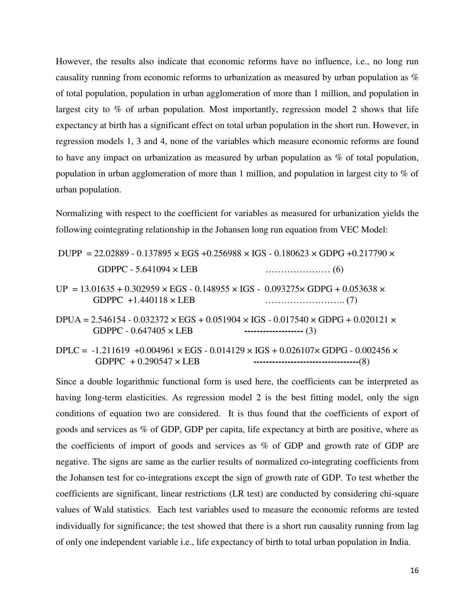However, the results also indicate that economic reforms have no influence, i.e., no long run causality running from economic reforms to urbanization as measured by urban population as % of total population, population in urban agglomeration of more than 1 million, and population in largest city to  $\%$  of urban population. Most importantly, regression model 2 shows that life expectancy at birth has a significant effect on total urban population in the short run. However, in regression models 1, 3 and 4, none of the variables which measure economic reforms are found to have any impact on urbanization as measured by urban population as % of total population, population in urban agglomeration of more than 1 million, and population in largest city to % of urban population.

Normalizing with respect to the coefficient for variables as measured for urbanization yields the following cointegrating relationship in the Johansen long run equation from VEC Model:

| DUPP = 22.02889 - 0.137895 $\times$ EGS +0.256988 $\times$ IGS - 0.180623 $\times$ GDPG +0.217790 $\times$                              |                          |
|-----------------------------------------------------------------------------------------------------------------------------------------|--------------------------|
| GDPPC - 5.641094 $\times$ LEB                                                                                                           |                          |
| $UP = 13.01635 + 0.302959 \times EGS - 0.148955 \times IGS - 0.093275 \times GDPG + 0.053638 \times$<br>GDPPC $+1.440118 \times$ LEB    |                          |
| $DPUA = 2.546154 - 0.032372 \times EGS + 0.051904 \times IGS - 0.017540 \times GDPG + 0.020121 \times$<br>GDPPC - $0.647405 \times$ LEB | -------------------- (3) |
| DPLC = $-1.211619 + 0.004961 \times EGS - 0.014129 \times IGS + 0.026107 \times GDPG - 0.002456 \times$                                 |                          |

GDPPC + 0.290547 × LEB **----------------------------------**(8)

Since a double logarithmic functional form is used here, the coefficients can be interpreted as having long-term elasticities. As regression model 2 is the best fitting model, only the sign conditions of equation two are considered. It is thus found that the coefficients of export of goods and services as % of GDP, GDP per capita, life expectancy at birth are positive, where as the coefficients of import of goods and services as % of GDP and growth rate of GDP are negative. The signs are same as the earlier results of normalized co-integrating coefficients from the Johansen test for co-integrations except the sign of growth rate of GDP. To test whether the coefficients are significant, linear restrictions (LR test) are conducted by considering chi-square values of Wald statistics. Each test variables used to measure the economic reforms are tested individually for significance; the test showed that there is a short run causality running from lag of only one independent variable i.e., life expectancy of birth to total urban population in India.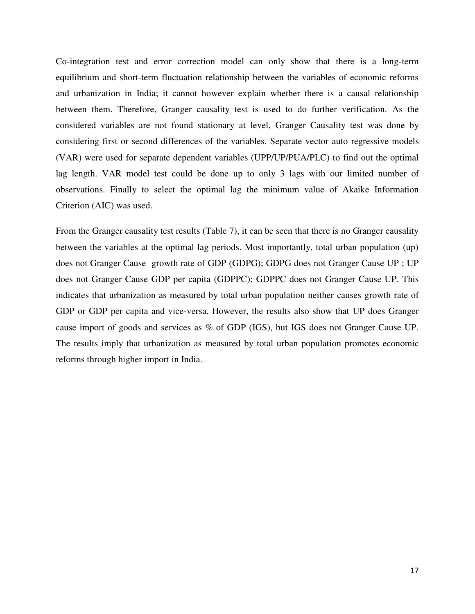Co-integration test and error correction model can only show that there is a long-term equilibrium and short-term fluctuation relationship between the variables of economic reforms and urbanization in India; it cannot however explain whether there is a causal relationship between them. Therefore, Granger causality test is used to do further verification. As the considered variables are not found stationary at level, Granger Causality test was done by considering first or second differences of the variables. Separate vector auto regressive models (VAR) were used for separate dependent variables (UPP/UP/PUA/PLC) to find out the optimal lag length. VAR model test could be done up to only 3 lags with our limited number of observations. Finally to select the optimal lag the minimum value of Akaike Information Criterion (AIC) was used.

From the Granger causality test results (Table 7), it can be seen that there is no Granger causality between the variables at the optimal lag periods. Most importantly, total urban population (up) does not Granger Cause growth rate of GDP (GDPG); GDPG does not Granger Cause UP ; UP does not Granger Cause GDP per capita (GDPPC); GDPPC does not Granger Cause UP. This indicates that urbanization as measured by total urban population neither causes growth rate of GDP or GDP per capita and vice-versa. However, the results also show that UP does Granger cause import of goods and services as % of GDP (IGS), but IGS does not Granger Cause UP. The results imply that urbanization as measured by total urban population promotes economic reforms through higher import in India.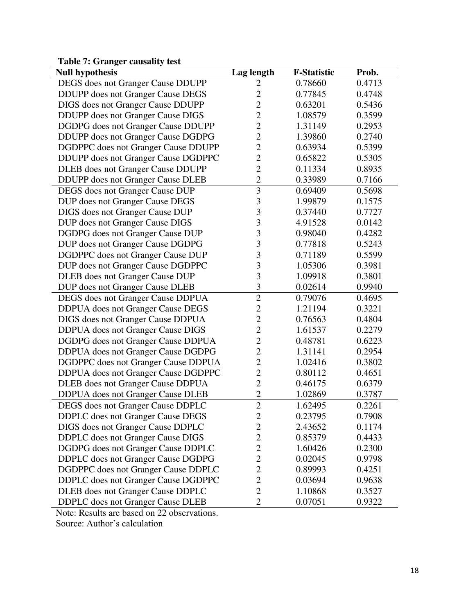## **Table 7: Granger causality test**

| <b>Null hypothesis</b>                    | Lag length     | <b>F-Statistic</b> | Prob.  |
|-------------------------------------------|----------------|--------------------|--------|
| DEGS does not Granger Cause DDUPP         | 2              | 0.78660            | 0.4713 |
| DDUPP does not Granger Cause DEGS         | $\overline{2}$ | 0.77845            | 0.4748 |
| DIGS does not Granger Cause DDUPP         | $\overline{c}$ | 0.63201            | 0.5436 |
| DDUPP does not Granger Cause DIGS         | $\overline{c}$ | 1.08579            | 0.3599 |
| DGDPG does not Granger Cause DDUPP        | $\overline{2}$ | 1.31149            | 0.2953 |
| DDUPP does not Granger Cause DGDPG        | $\overline{2}$ | 1.39860            | 0.2740 |
| DGDPPC does not Granger Cause DDUPP       | $\overline{c}$ | 0.63934            | 0.5399 |
| DDUPP does not Granger Cause DGDPPC       | $\overline{2}$ | 0.65822            | 0.5305 |
| <b>DLEB</b> does not Granger Cause DDUPP  | $\overline{2}$ | 0.11334            | 0.8935 |
| <b>DDUPP</b> does not Granger Cause DLEB  | $\overline{2}$ | 0.33989            | 0.7166 |
| DEGS does not Granger Cause DUP           | $\overline{3}$ | 0.69409            | 0.5698 |
| DUP does not Granger Cause DEGS           | 3              | 1.99879            | 0.1575 |
| DIGS does not Granger Cause DUP           | 3              | 0.37440            | 0.7727 |
| DUP does not Granger Cause DIGS           | 3              | 4.91528            | 0.0142 |
| DGDPG does not Granger Cause DUP          | $\overline{3}$ | 0.98040            | 0.4282 |
| DUP does not Granger Cause DGDPG          | 3              | 0.77818            | 0.5243 |
| DGDPPC does not Granger Cause DUP         | 3              | 0.71189            | 0.5599 |
| DUP does not Granger Cause DGDPPC         | 3              | 1.05306            | 0.3981 |
| DLEB does not Granger Cause DUP           | $\overline{3}$ | 1.09918            | 0.3801 |
| DUP does not Granger Cause DLEB           | 3              | 0.02614            | 0.9940 |
| DEGS does not Granger Cause DDPUA         | $\overline{2}$ | 0.79076            | 0.4695 |
| DDPUA does not Granger Cause DEGS         | $\overline{2}$ | 1.21194            | 0.3221 |
| DIGS does not Granger Cause DDPUA         | $\overline{c}$ | 0.76563            | 0.4804 |
| DDPUA does not Granger Cause DIGS         | $\overline{2}$ | 1.61537            | 0.2279 |
| DGDPG does not Granger Cause DDPUA        | $\overline{c}$ | 0.48781            | 0.6223 |
| DDPUA does not Granger Cause DGDPG        | $\overline{c}$ | 1.31141            | 0.2954 |
| DGDPPC does not Granger Cause DDPUA       | $\overline{2}$ | 1.02416            | 0.3802 |
| DDPUA does not Granger Cause DGDPPC       | $\overline{2}$ | 0.80112            | 0.4651 |
| DLEB does not Granger Cause DDPUA         | $\overline{2}$ | 0.46175            | 0.6379 |
| <b>DDPUA</b> does not Granger Cause DLEB  | $\overline{c}$ | 1.02869            | 0.3787 |
| DEGS does not Granger Cause DDPLC         | $\overline{2}$ | 1.62495            | 0.2261 |
| <b>DDPLC</b> does not Granger Cause DEGS  | 2              | 0.23795            | 0.7908 |
| DIGS does not Granger Cause DDPLC         | $\overline{c}$ | 2.43652            | 0.1174 |
| <b>DDPLC</b> does not Granger Cause DIGS  | $\overline{c}$ | 0.85379            | 0.4433 |
| DGDPG does not Granger Cause DDPLC        | $\overline{2}$ | 1.60426            | 0.2300 |
| <b>DDPLC</b> does not Granger Cause DGDPG | $\overline{c}$ | 0.02045            | 0.9798 |
| DGDPPC does not Granger Cause DDPLC       | $\overline{2}$ | 0.89993            | 0.4251 |
| DDPLC does not Granger Cause DGDPPC       | $\overline{2}$ | 0.03694            | 0.9638 |
| <b>DLEB</b> does not Granger Cause DDPLC  | $\overline{2}$ | 1.10868            | 0.3527 |
| <b>DDPLC</b> does not Granger Cause DLEB  | $\overline{2}$ | 0.07051            | 0.9322 |

Note: Results are based on 22 observations.

Source: Author"s calculation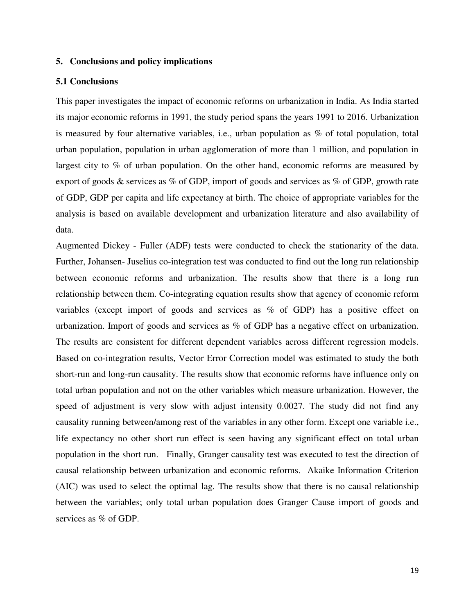#### **5. Conclusions and policy implications**

#### **5.1 Conclusions**

This paper investigates the impact of economic reforms on urbanization in India. As India started its major economic reforms in 1991, the study period spans the years 1991 to 2016. Urbanization is measured by four alternative variables, i.e., urban population as % of total population, total urban population, population in urban agglomeration of more than 1 million, and population in largest city to % of urban population. On the other hand, economic reforms are measured by export of goods & services as % of GDP, import of goods and services as % of GDP, growth rate of GDP, GDP per capita and life expectancy at birth. The choice of appropriate variables for the analysis is based on available development and urbanization literature and also availability of data.

Augmented Dickey - Fuller (ADF) tests were conducted to check the stationarity of the data. Further, Johansen- Juselius co-integration test was conducted to find out the long run relationship between economic reforms and urbanization. The results show that there is a long run relationship between them. Co-integrating equation results show that agency of economic reform variables (except import of goods and services as % of GDP) has a positive effect on urbanization. Import of goods and services as % of GDP has a negative effect on urbanization. The results are consistent for different dependent variables across different regression models. Based on co-integration results, Vector Error Correction model was estimated to study the both short-run and long-run causality. The results show that economic reforms have influence only on total urban population and not on the other variables which measure urbanization. However, the speed of adjustment is very slow with adjust intensity 0.0027. The study did not find any causality running between/among rest of the variables in any other form. Except one variable i.e., life expectancy no other short run effect is seen having any significant effect on total urban population in the short run. Finally, Granger causality test was executed to test the direction of causal relationship between urbanization and economic reforms. Akaike Information Criterion (AIC) was used to select the optimal lag. The results show that there is no causal relationship between the variables; only total urban population does Granger Cause import of goods and services as % of GDP.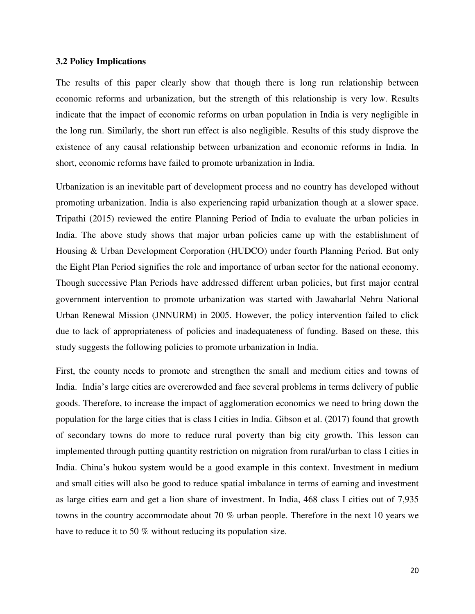#### **3.2 Policy Implications**

The results of this paper clearly show that though there is long run relationship between economic reforms and urbanization, but the strength of this relationship is very low. Results indicate that the impact of economic reforms on urban population in India is very negligible in the long run. Similarly, the short run effect is also negligible. Results of this study disprove the existence of any causal relationship between urbanization and economic reforms in India. In short, economic reforms have failed to promote urbanization in India.

Urbanization is an inevitable part of development process and no country has developed without promoting urbanization. India is also experiencing rapid urbanization though at a slower space. Tripathi (2015) reviewed the entire Planning Period of India to evaluate the urban policies in India. The above study shows that major urban policies came up with the establishment of Housing & Urban Development Corporation (HUDCO) under fourth Planning Period. But only the Eight Plan Period signifies the role and importance of urban sector for the national economy. Though successive Plan Periods have addressed different urban policies, but first major central government intervention to promote urbanization was started with Jawaharlal Nehru National Urban Renewal Mission (JNNURM) in 2005. However, the policy intervention failed to click due to lack of appropriateness of policies and inadequateness of funding. Based on these, this study suggests the following policies to promote urbanization in India.

First, the county needs to promote and strengthen the small and medium cities and towns of India. India"s large cities are overcrowded and face several problems in terms delivery of public goods. Therefore, to increase the impact of agglomeration economics we need to bring down the population for the large cities that is class I cities in India. Gibson et al. (2017) found that growth of secondary towns do more to reduce rural poverty than big city growth. This lesson can implemented through putting quantity restriction on migration from rural/urban to class I cities in India. China"s hukou system would be a good example in this context. Investment in medium and small cities will also be good to reduce spatial imbalance in terms of earning and investment as large cities earn and get a lion share of investment. In India, 468 class I cities out of 7,935 towns in the country accommodate about 70 % urban people. Therefore in the next 10 years we have to reduce it to 50 % without reducing its population size.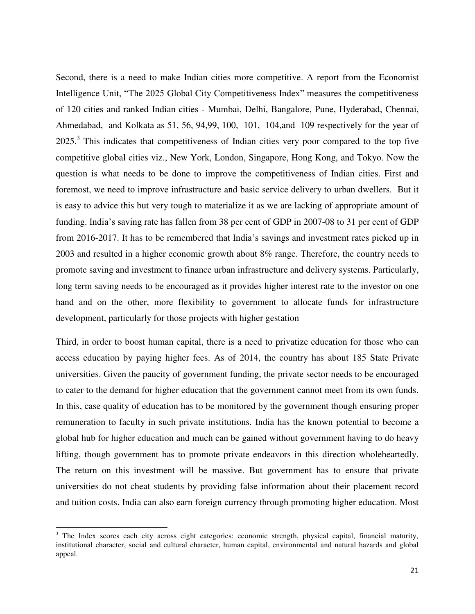Second, there is a need to make Indian cities more competitive. A report from the Economist Intelligence Unit, "The 2025 Global City Competitiveness Index" measures the competitiveness of 120 cities and ranked Indian cities - Mumbai, Delhi, Bangalore, Pune, Hyderabad, Chennai, Ahmedabad, and Kolkata as 51, 56, 94,99, 100, 101, 104,and 109 respectively for the year of  $2025<sup>3</sup>$  This indicates that competitiveness of Indian cities very poor compared to the top five competitive global cities viz., New York, London, Singapore, Hong Kong, and Tokyo. Now the question is what needs to be done to improve the competitiveness of Indian cities. First and foremost, we need to improve infrastructure and basic service delivery to urban dwellers. But it is easy to advice this but very tough to materialize it as we are lacking of appropriate amount of funding. India"s saving rate has fallen from 38 per cent of GDP in 2007-08 to 31 per cent of GDP from 2016-2017. It has to be remembered that India"s savings and investment rates picked up in 2003 and resulted in a higher economic growth about 8% range. Therefore, the country needs to promote saving and investment to finance urban infrastructure and delivery systems. Particularly, long term saving needs to be encouraged as it provides higher interest rate to the investor on one hand and on the other, more flexibility to government to allocate funds for infrastructure development, particularly for those projects with higher gestation

Third, in order to boost human capital, there is a need to privatize education for those who can access education by paying higher fees. As of 2014, the country has about 185 State Private universities. Given the paucity of government funding, the private sector needs to be encouraged to cater to the demand for higher education that the government cannot meet from its own funds. In this, case quality of education has to be monitored by the government though ensuring proper remuneration to faculty in such private institutions. India has the known potential to become a global hub for higher education and much can be gained without government having to do heavy lifting, though government has to promote private endeavors in this direction wholeheartedly. The return on this investment will be massive. But government has to ensure that private universities do not cheat students by providing false information about their placement record and tuition costs. India can also earn foreign currency through promoting higher education. Most

l

<sup>&</sup>lt;sup>3</sup> The Index scores each city across eight categories: economic strength, physical capital, financial maturity, institutional character, social and cultural character, human capital, environmental and natural hazards and global appeal.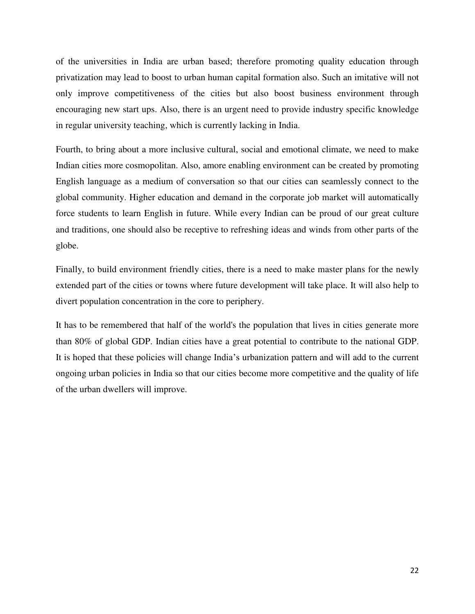of the universities in India are urban based; therefore promoting quality education through privatization may lead to boost to urban human capital formation also. Such an imitative will not only improve competitiveness of the cities but also boost business environment through encouraging new start ups. Also, there is an urgent need to provide industry specific knowledge in regular university teaching, which is currently lacking in India.

Fourth, to bring about a more inclusive cultural, social and emotional climate, we need to make Indian cities more cosmopolitan. Also, amore enabling environment can be created by promoting English language as a medium of conversation so that our cities can seamlessly connect to the global community. Higher education and demand in the corporate job market will automatically force students to learn English in future. While every Indian can be proud of our great culture and traditions, one should also be receptive to refreshing ideas and winds from other parts of the globe.

Finally, to build environment friendly cities, there is a need to make master plans for the newly extended part of the cities or towns where future development will take place. It will also help to divert population concentration in the core to periphery.

It has to be remembered that half of the world's the population that lives in cities generate more than 80% of global GDP. Indian cities have a great potential to contribute to the national GDP. It is hoped that these policies will change India"s urbanization pattern and will add to the current ongoing urban policies in India so that our cities become more competitive and the quality of life of the urban dwellers will improve.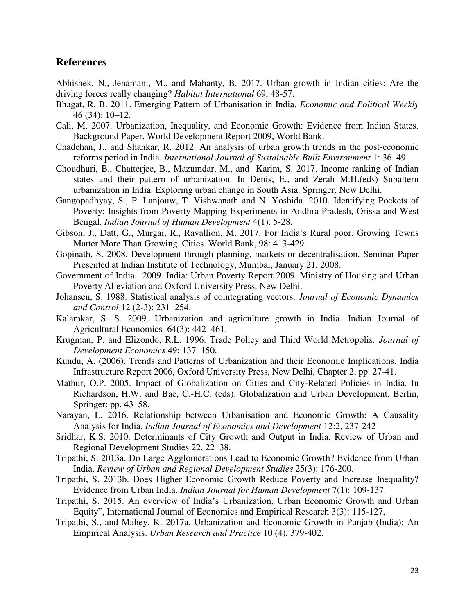### **References**

- Abhishek, N., Jenamani, M., and Mahanty, B. 2017. Urban growth in Indian cities: Are the driving forces really changing? *Habitat International* 69, 48-57.
- Bhagat, R. B. 2011. Emerging Pattern of Urbanisation in India. *Economic and Political Weekly* 46 (34): 10–12.
- Cali, M. 2007. Urbanization, Inequality, and Economic Growth: Evidence from Indian States. Background Paper, World Development Report 2009, World Bank.
- Chadchan, J., and Shankar, R. 2012. An analysis of urban growth trends in the post-economic reforms period in India. *International Journal of Sustainable Built Environment* 1: 36–49.
- Choudhuri, B., Chatterjee, B., Mazumdar, M., and Karim, S. 2017. Income ranking of Indian states and their pattern of urbanization. In Denis, E., and Zerah M.H.(eds) Subaltern urbanization in India. Exploring urban change in South Asia. Springer, New Delhi.
- Gangopadhyay, S., P. Lanjouw, T. Vishwanath and N. Yoshida. 2010. Identifying Pockets of Poverty: Insights from Poverty Mapping Experiments in Andhra Pradesh, Orissa and West Bengal. *Indian Journal of Human Development* 4(1): 5-28.
- Gibson, J., Datt, G., Murgai, R., Ravallion, M. 2017. For India"s Rural poor, Growing Towns Matter More Than Growing Cities. World Bank, 98: 413-429.
- Gopinath, S. 2008. Development through planning, markets or decentralisation. Seminar Paper Presented at Indian Institute of Technology, Mumbai, January 21, 2008.
- Government of India. 2009. India: Urban Poverty Report 2009. Ministry of Housing and Urban Poverty Alleviation and Oxford University Press, New Delhi.
- Johansen, S. 1988. Statistical analysis of cointegrating vectors. *Journal of Economic Dynamics and Control* 12 (2-3): 231–254.
- Kalamkar, S. S. 2009. Urbanization and agriculture growth in India. Indian Journal of Agricultural Economics 64(3): 442–461.
- Krugman, P. and Elizondo, R.L. 1996. Trade Policy and Third World Metropolis. *Journal of Development Economics* 49: 137–150.
- Kundu, A. (2006). Trends and Patterns of Urbanization and their Economic Implications. India Infrastructure Report 2006, Oxford University Press, New Delhi, Chapter 2, pp. 27-41.
- Mathur, O.P. 2005. Impact of Globalization on Cities and City‐Related Policies in India. In Richardson, H.W. and Bae, C.-H.C. (eds). Globalization and Urban Development. Berlin, Springer: pp. 43–58.
- Narayan, L. 2016. Relationship between Urbanisation and Economic Growth: A Causality Analysis for India. *Indian Journal of Economics and Development* 12:2, 237-242
- Sridhar, K.S. 2010. Determinants of City Growth and Output in India. Review of Urban and Regional Development Studies 22, 22–38.
- Tripathi, S. 2013a. Do Large Agglomerations Lead to Economic Growth? Evidence from Urban India. *Review of Urban and Regional Development Studies* 25(3): 176-200.
- Tripathi, S. 2013b. Does Higher Economic Growth Reduce Poverty and Increase Inequality? Evidence from Urban India. *Indian Journal for Human Development* 7(1): 109-137.
- Tripathi, S. 2015. An overview of India"s Urbanization, Urban Economic Growth and Urban Equity", International Journal of Economics and Empirical Research 3(3): 115-127,
- Tripathi, S., and Mahey, K. 2017a. Urbanization and Economic Growth in Punjab (India): An Empirical Analysis. *Urban Research and Practice* 10 (4), 379-402.